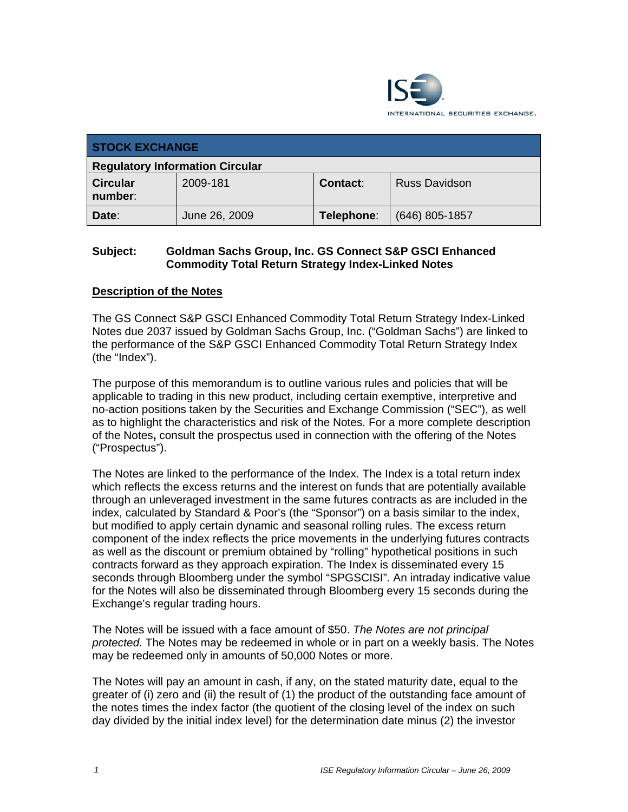

| <b>STOCK EXCHANGE</b>                  |               |            |                      |  |  |
|----------------------------------------|---------------|------------|----------------------|--|--|
| <b>Regulatory Information Circular</b> |               |            |                      |  |  |
| <b>Circular</b><br>number:             | 2009-181      | Contact:   | <b>Russ Davidson</b> |  |  |
| Date:                                  | June 26, 2009 | Telephone: | $(646)$ 805-1857     |  |  |

## **Subject: Goldman Sachs Group, Inc. GS Connect S&P GSCI Enhanced Commodity Total Return Strategy Index-Linked Notes**

## **Description of the Notes**

The GS Connect S&P GSCI Enhanced Commodity Total Return Strategy Index-Linked Notes due 2037 issued by Goldman Sachs Group, Inc. ("Goldman Sachs") are linked to the performance of the S&P GSCI Enhanced Commodity Total Return Strategy Index (the "Index").

The purpose of this memorandum is to outline various rules and policies that will be applicable to trading in this new product, including certain exemptive, interpretive and no-action positions taken by the Securities and Exchange Commission ("SEC"), as well as to highlight the characteristics and risk of the Notes. For a more complete description of the Notes**,** consult the prospectus used in connection with the offering of the Notes ("Prospectus").

The Notes are linked to the performance of the Index. The Index is a total return index which reflects the excess returns and the interest on funds that are potentially available through an unleveraged investment in the same futures contracts as are included in the index, calculated by Standard & Poor's (the "Sponsor") on a basis similar to the index, but modified to apply certain dynamic and seasonal rolling rules. The excess return component of the index reflects the price movements in the underlying futures contracts as well as the discount or premium obtained by "rolling" hypothetical positions in such contracts forward as they approach expiration. The Index is disseminated every 15 seconds through Bloomberg under the symbol "SPGSCISI". An intraday indicative value for the Notes will also be disseminated through Bloomberg every 15 seconds during the Exchange's regular trading hours.

The Notes will be issued with a face amount of \$50. *The Notes are not principal protected.* The Notes may be redeemed in whole or in part on a weekly basis. The Notes may be redeemed only in amounts of 50,000 Notes or more.

The Notes will pay an amount in cash, if any, on the stated maturity date, equal to the greater of (i) zero and (ii) the result of (1) the product of the outstanding face amount of the notes times the index factor (the quotient of the closing level of the index on such day divided by the initial index level) for the determination date minus (2) the investor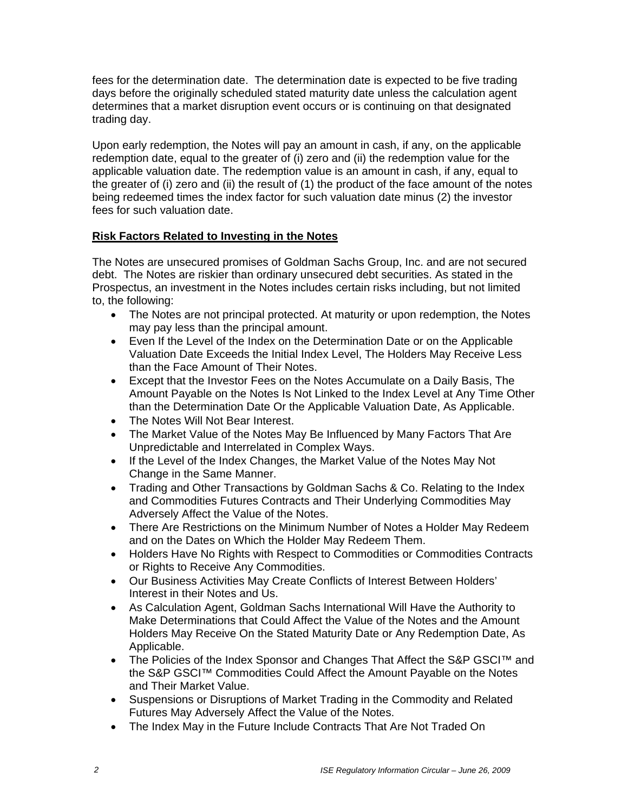fees for the determination date. The determination date is expected to be five trading days before the originally scheduled stated maturity date unless the calculation agent determines that a market disruption event occurs or is continuing on that designated trading day.

Upon early redemption, the Notes will pay an amount in cash, if any, on the applicable redemption date, equal to the greater of (i) zero and (ii) the redemption value for the applicable valuation date. The redemption value is an amount in cash, if any, equal to the greater of (i) zero and (ii) the result of (1) the product of the face amount of the notes being redeemed times the index factor for such valuation date minus (2) the investor fees for such valuation date.

# **Risk Factors Related to Investing in the Notes**

The Notes are unsecured promises of Goldman Sachs Group, Inc. and are not secured debt. The Notes are riskier than ordinary unsecured debt securities. As stated in the Prospectus, an investment in the Notes includes certain risks including, but not limited to, the following:

- The Notes are not principal protected. At maturity or upon redemption, the Notes may pay less than the principal amount.
- Even If the Level of the Index on the Determination Date or on the Applicable Valuation Date Exceeds the Initial Index Level, The Holders May Receive Less than the Face Amount of Their Notes.
- Except that the Investor Fees on the Notes Accumulate on a Daily Basis, The Amount Payable on the Notes Is Not Linked to the Index Level at Any Time Other than the Determination Date Or the Applicable Valuation Date, As Applicable.
- The Notes Will Not Bear Interest.
- The Market Value of the Notes May Be Influenced by Many Factors That Are Unpredictable and Interrelated in Complex Ways.
- If the Level of the Index Changes, the Market Value of the Notes May Not Change in the Same Manner.
- Trading and Other Transactions by Goldman Sachs & Co. Relating to the Index and Commodities Futures Contracts and Their Underlying Commodities May Adversely Affect the Value of the Notes.
- There Are Restrictions on the Minimum Number of Notes a Holder May Redeem and on the Dates on Which the Holder May Redeem Them.
- Holders Have No Rights with Respect to Commodities or Commodities Contracts or Rights to Receive Any Commodities.
- Our Business Activities May Create Conflicts of Interest Between Holders' Interest in their Notes and Us.
- As Calculation Agent, Goldman Sachs International Will Have the Authority to Make Determinations that Could Affect the Value of the Notes and the Amount Holders May Receive On the Stated Maturity Date or Any Redemption Date, As Applicable.
- The Policies of the Index Sponsor and Changes That Affect the S&P GSCI™ and the S&P GSCI™ Commodities Could Affect the Amount Payable on the Notes and Their Market Value.
- Suspensions or Disruptions of Market Trading in the Commodity and Related Futures May Adversely Affect the Value of the Notes.
- The Index May in the Future Include Contracts That Are Not Traded On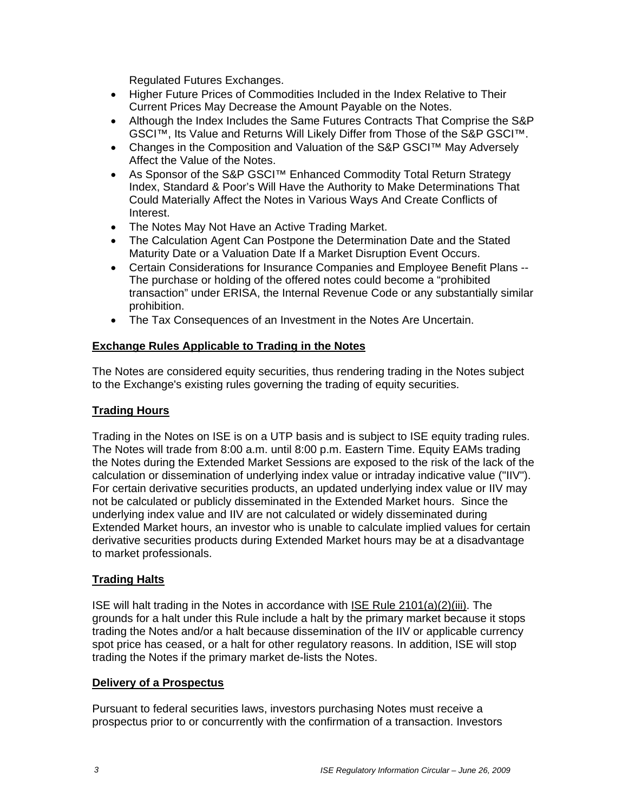Regulated Futures Exchanges.

- Higher Future Prices of Commodities Included in the Index Relative to Their Current Prices May Decrease the Amount Payable on the Notes.
- Although the Index Includes the Same Futures Contracts That Comprise the S&P GSCI™, Its Value and Returns Will Likely Differ from Those of the S&P GSCI™.
- Changes in the Composition and Valuation of the S&P GSCI™ May Adversely Affect the Value of the Notes.
- As Sponsor of the S&P GSCI<sup>™</sup> Enhanced Commodity Total Return Strategy Index, Standard & Poor's Will Have the Authority to Make Determinations That Could Materially Affect the Notes in Various Ways And Create Conflicts of Interest.
- The Notes May Not Have an Active Trading Market.
- The Calculation Agent Can Postpone the Determination Date and the Stated Maturity Date or a Valuation Date If a Market Disruption Event Occurs.
- Certain Considerations for Insurance Companies and Employee Benefit Plans -- The purchase or holding of the offered notes could become a "prohibited transaction" under ERISA, the Internal Revenue Code or any substantially similar prohibition.
- The Tax Consequences of an Investment in the Notes Are Uncertain.

#### **Exchange Rules Applicable to Trading in the Notes**

The Notes are considered equity securities, thus rendering trading in the Notes subject to the Exchange's existing rules governing the trading of equity securities.

### **Trading Hours**

Trading in the Notes on ISE is on a UTP basis and is subject to ISE equity trading rules. The Notes will trade from 8:00 a.m. until 8:00 p.m. Eastern Time. Equity EAMs trading the Notes during the Extended Market Sessions are exposed to the risk of the lack of the calculation or dissemination of underlying index value or intraday indicative value ("IIV"). For certain derivative securities products, an updated underlying index value or IIV may not be calculated or publicly disseminated in the Extended Market hours. Since the underlying index value and IIV are not calculated or widely disseminated during Extended Market hours, an investor who is unable to calculate implied values for certain derivative securities products during Extended Market hours may be at a disadvantage to market professionals.

## **Trading Halts**

ISE will halt trading in the Notes in accordance with ISE Rule 2101(a)(2)(iii). The grounds for a halt under this Rule include a halt by the primary market because it stops trading the Notes and/or a halt because dissemination of the IIV or applicable currency spot price has ceased, or a halt for other regulatory reasons. In addition, ISE will stop trading the Notes if the primary market de-lists the Notes.

#### **Delivery of a Prospectus**

Pursuant to federal securities laws, investors purchasing Notes must receive a prospectus prior to or concurrently with the confirmation of a transaction. Investors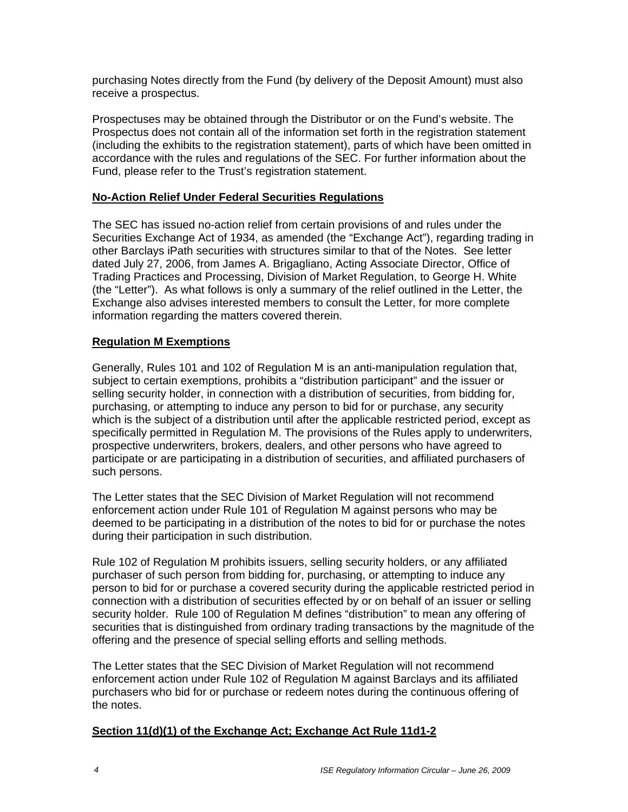purchasing Notes directly from the Fund (by delivery of the Deposit Amount) must also receive a prospectus.

Prospectuses may be obtained through the Distributor or on the Fund's website. The Prospectus does not contain all of the information set forth in the registration statement (including the exhibits to the registration statement), parts of which have been omitted in accordance with the rules and regulations of the SEC. For further information about the Fund, please refer to the Trust's registration statement.

## **No-Action Relief Under Federal Securities Regulations**

The SEC has issued no-action relief from certain provisions of and rules under the Securities Exchange Act of 1934, as amended (the "Exchange Act"), regarding trading in other Barclays iPath securities with structures similar to that of the Notes. See letter dated July 27, 2006, from James A. Brigagliano, Acting Associate Director, Office of Trading Practices and Processing, Division of Market Regulation, to George H. White (the "Letter"). As what follows is only a summary of the relief outlined in the Letter, the Exchange also advises interested members to consult the Letter, for more complete information regarding the matters covered therein.

## **Regulation M Exemptions**

Generally, Rules 101 and 102 of Regulation M is an anti-manipulation regulation that, subject to certain exemptions, prohibits a "distribution participant" and the issuer or selling security holder, in connection with a distribution of securities, from bidding for, purchasing, or attempting to induce any person to bid for or purchase, any security which is the subject of a distribution until after the applicable restricted period, except as specifically permitted in Regulation M. The provisions of the Rules apply to underwriters, prospective underwriters, brokers, dealers, and other persons who have agreed to participate or are participating in a distribution of securities, and affiliated purchasers of such persons.

The Letter states that the SEC Division of Market Regulation will not recommend enforcement action under Rule 101 of Regulation M against persons who may be deemed to be participating in a distribution of the notes to bid for or purchase the notes during their participation in such distribution.

Rule 102 of Regulation M prohibits issuers, selling security holders, or any affiliated purchaser of such person from bidding for, purchasing, or attempting to induce any person to bid for or purchase a covered security during the applicable restricted period in connection with a distribution of securities effected by or on behalf of an issuer or selling security holder. Rule 100 of Regulation M defines "distribution" to mean any offering of securities that is distinguished from ordinary trading transactions by the magnitude of the offering and the presence of special selling efforts and selling methods.

The Letter states that the SEC Division of Market Regulation will not recommend enforcement action under Rule 102 of Regulation M against Barclays and its affiliated purchasers who bid for or purchase or redeem notes during the continuous offering of the notes.

## **Section 11(d)(1) of the Exchange Act; Exchange Act Rule 11d1-2**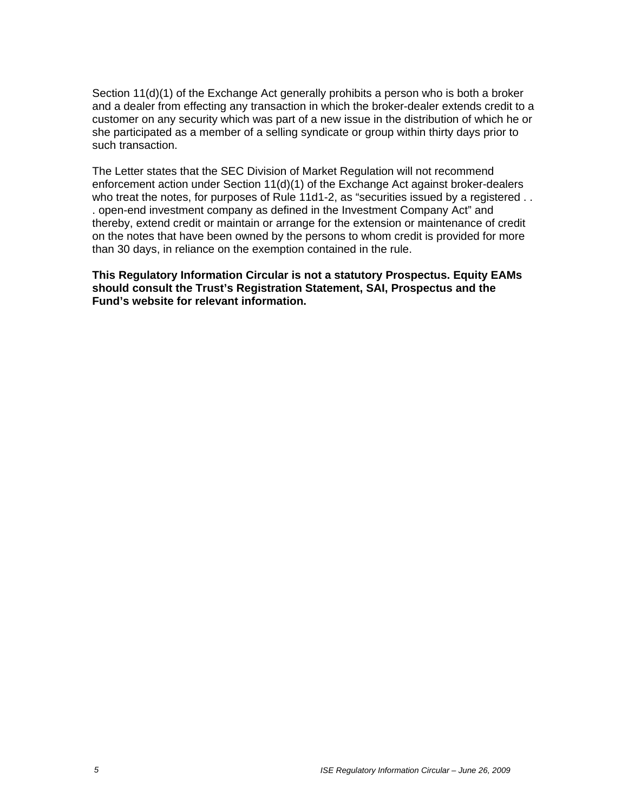Section 11(d)(1) of the Exchange Act generally prohibits a person who is both a broker and a dealer from effecting any transaction in which the broker-dealer extends credit to a customer on any security which was part of a new issue in the distribution of which he or she participated as a member of a selling syndicate or group within thirty days prior to such transaction.

The Letter states that the SEC Division of Market Regulation will not recommend enforcement action under Section 11(d)(1) of the Exchange Act against broker-dealers who treat the notes, for purposes of Rule 11d1-2, as "securities issued by a registered . . . open-end investment company as defined in the Investment Company Act" and thereby, extend credit or maintain or arrange for the extension or maintenance of credit on the notes that have been owned by the persons to whom credit is provided for more than 30 days, in reliance on the exemption contained in the rule.

**This Regulatory Information Circular is not a statutory Prospectus. Equity EAMs should consult the Trust's Registration Statement, SAI, Prospectus and the Fund's website for relevant information.**